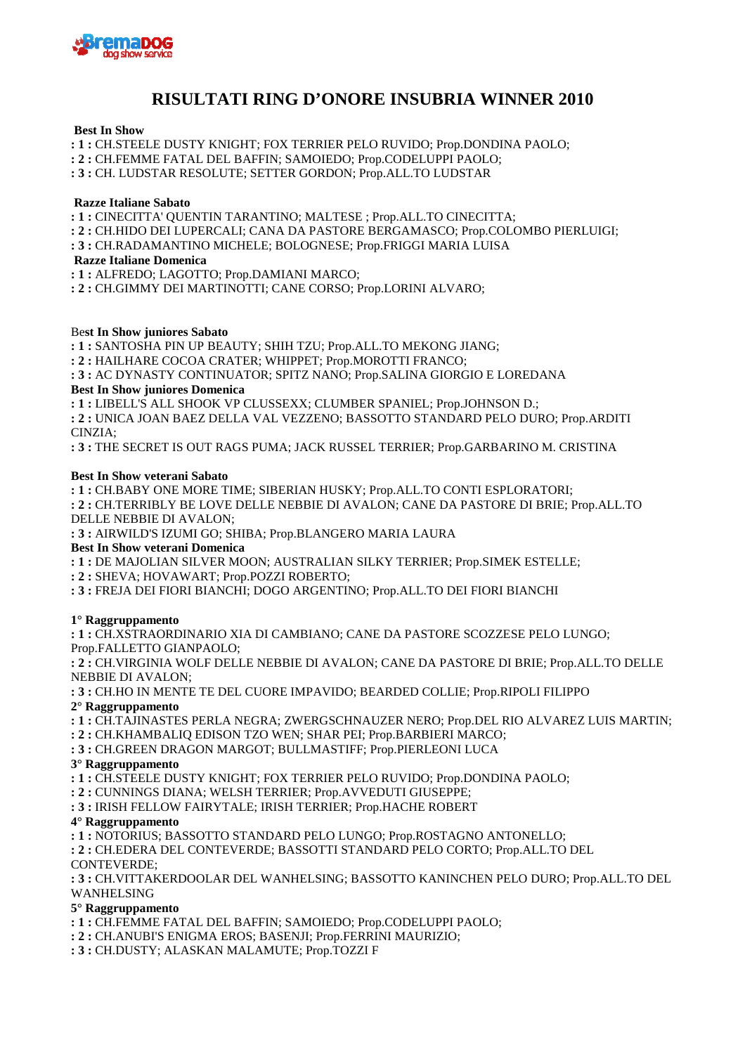

# **RISULTATI RING D'ONORE INSUBRIA WINNER 2010**

# **Best In Show**

**: 1 :** CH.STEELE DUSTY KNIGHT; FOX TERRIER PELO RUVIDO; Prop.DONDINA PAOLO;

**: 2 :** CH.FEMME FATAL DEL BAFFIN; SAMOIEDO; Prop.CODELUPPI PAOLO;

**: 3 :** CH. LUDSTAR RESOLUTE; SETTER GORDON; Prop.ALL.TO LUDSTAR

#### **Razze Italiane Sabato**

**: 1 :** CINECITTA' QUENTIN TARANTINO; MALTESE ; Prop.ALL.TO CINECITTA;

**: 2 :** CH.HIDO DEI LUPERCALI; CANA DA PASTORE BERGAMASCO; Prop.COLOMBO PIERLUIGI;

**: 3 :** CH.RADAMANTINO MICHELE; BOLOGNESE; Prop.FRIGGI MARIA LUISA

 **Razze Italiane Domenica**

**: 1 :** ALFREDO; LAGOTTO; Prop.DAMIANI MARCO;

**: 2 :** CH.GIMMY DEI MARTINOTTI; CANE CORSO; Prop.LORINI ALVARO;

#### Be**st In Show juniores Sabato**

**: 1 :** SANTOSHA PIN UP BEAUTY; SHIH TZU; Prop.ALL.TO MEKONG JIANG;

**: 2 :** HAILHARE COCOA CRATER; WHIPPET; Prop.MOROTTI FRANCO;

**: 3 :** AC DYNASTY CONTINUATOR; SPITZ NANO; Prop.SALINA GIORGIO E LOREDANA

#### **Best In Show juniores Domenica**

**: 1 :** LIBELL'S ALL SHOOK VP CLUSSEXX; CLUMBER SPANIEL; Prop.JOHNSON D.;

**: 2 :** UNICA JOAN BAEZ DELLA VAL VEZZENO; BASSOTTO STANDARD PELO DURO; Prop.ARDITI CINZIA;

**: 3 :** THE SECRET IS OUT RAGS PUMA; JACK RUSSEL TERRIER; Prop.GARBARINO M. CRISTINA

#### **Best In Show veterani Sabato**

**: 1 :** CH.BABY ONE MORE TIME; SIBERIAN HUSKY; Prop.ALL.TO CONTI ESPLORATORI;

**: 2 :** CH.TERRIBLY BE LOVE DELLE NEBBIE DI AVALON; CANE DA PASTORE DI BRIE; Prop.ALL.TO DELLE NEBBIE DI AVALON;

**: 3 :** AIRWILD'S IZUMI GO; SHIBA; Prop.BLANGERO MARIA LAURA

#### **Best In Show veterani Domenica**

**: 1 :** DE MAJOLIAN SILVER MOON; AUSTRALIAN SILKY TERRIER; Prop.SIMEK ESTELLE;

- **: 2 :** SHEVA; HOVAWART; Prop.POZZI ROBERTO;
- **: 3 :** FREJA DEI FIORI BIANCHI; DOGO ARGENTINO; Prop.ALL.TO DEI FIORI BIANCHI

# **1° Raggruppamento**

**: 1 :** CH.XSTRAORDINARIO XIA DI CAMBIANO; CANE DA PASTORE SCOZZESE PELO LUNGO; Prop.FALLETTO GIANPAOLO;

**: 2 :** CH.VIRGINIA WOLF DELLE NEBBIE DI AVALON; CANE DA PASTORE DI BRIE; Prop.ALL.TO DELLE NEBBIE DI AVALON;

**: 3 :** CH.HO IN MENTE TE DEL CUORE IMPAVIDO; BEARDED COLLIE; Prop.RIPOLI FILIPPO **2° Raggruppamento**

- **: 1 :** CH.TAJINASTES PERLA NEGRA; ZWERGSCHNAUZER NERO; Prop.DEL RIO ALVAREZ LUIS MARTIN;
- **: 2 :** CH.KHAMBALIQ EDISON TZO WEN; SHAR PEI; Prop.BARBIERI MARCO;
- **: 3 :** CH.GREEN DRAGON MARGOT; BULLMASTIFF; Prop.PIERLEONI LUCA

#### **3° Raggruppamento**

**: 1 :** CH.STEELE DUSTY KNIGHT; FOX TERRIER PELO RUVIDO; Prop.DONDINA PAOLO;

**: 2 :** CUNNINGS DIANA; WELSH TERRIER; Prop.AVVEDUTI GIUSEPPE;

**: 3 :** IRISH FELLOW FAIRYTALE; IRISH TERRIER; Prop.HACHE ROBERT

# **4° Raggruppamento**

**: 1 :** NOTORIUS; BASSOTTO STANDARD PELO LUNGO; Prop.ROSTAGNO ANTONELLO;

**: 2 :** CH.EDERA DEL CONTEVERDE; BASSOTTI STANDARD PELO CORTO; Prop.ALL.TO DEL CONTEVERDE;

**: 3 :** CH.VITTAKERDOOLAR DEL WANHELSING; BASSOTTO KANINCHEN PELO DURO; Prop.ALL.TO DEL WANHELSING

# **5° Raggruppamento**

**: 1 :** CH.FEMME FATAL DEL BAFFIN; SAMOIEDO; Prop.CODELUPPI PAOLO;

- **: 2 :** CH.ANUBI'S ENIGMA EROS; BASENJI; Prop.FERRINI MAURIZIO;
- **: 3 :** CH.DUSTY; ALASKAN MALAMUTE; Prop.TOZZI F